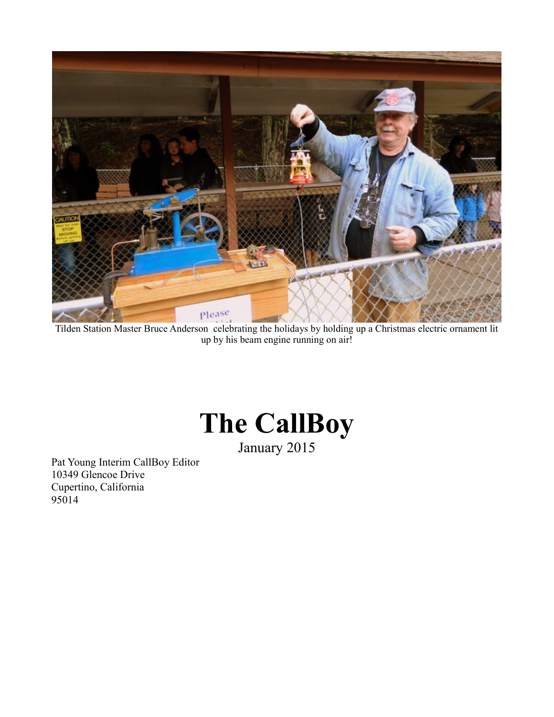

Tilden Station Master Bruce Anderson celebrating the holidays by holding up a Christmas electric ornament lit up by his beam engine running on air!

# **The CallBoy**

January 2015

Pat Young Interim CallBoy Editor 10349 Glencoe Drive Cupertino, California 95014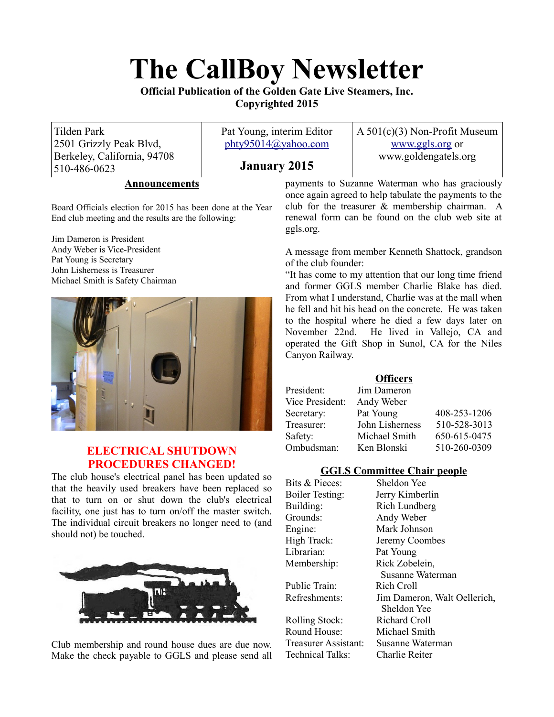# **The CallBoy Newsletter**

**Official Publication of the Golden Gate Live Steamers, Inc. Copyrighted 2015**

Tilden Park 2501 Grizzly Peak Blvd, Berkeley, California, 94708 510-486-0623

Pat Young, interim Editor [phty95014@yahoo.com](mailto:phty95014@yahoo.com)

# **January 2015**

A 501(c)(3) Non-Profit Museum [www.ggls.org](http://www.ggls.org/) or www.goldengatels.org

#### **Announcements**

Board Officials election for 2015 has been done at the Year End club meeting and the results are the following:

Jim Dameron is President Andy Weber is Vice-President Pat Young is Secretary John Lisherness is Treasurer Michael Smith is Safety Chairman



# **ELECTRICAL SHUTDOWN PROCEDURES CHANGED!**

The club house's electrical panel has been updated so that the heavily used breakers have been replaced so that to turn on or shut down the club's electrical facility, one just has to turn on/off the master switch. The individual circuit breakers no longer need to (and should not) be touched.



Club membership and round house dues are due now. Make the check payable to GGLS and please send all

payments to Suzanne Waterman who has graciously once again agreed to help tabulate the payments to the club for the treasurer & membership chairman. A renewal form can be found on the club web site at ggls.org.

A message from member Kenneth Shattock, grandson of the club founder:

"It has come to my attention that our long time friend and former GGLS member Charlie Blake has died. From what I understand, Charlie was at the mall when he fell and hit his head on the concrete. He was taken to the hospital where he died a few days later on November 22nd. He lived in Vallejo, CA and operated the Gift Shop in Sunol, CA for the Niles Canyon Railway.

# **Officers**

| President:      | Jim Dameron     |              |
|-----------------|-----------------|--------------|
| Vice President: | Andy Weber      |              |
| Secretary:      | Pat Young       | 408-253-1206 |
| Treasurer:      | John Lisherness | 510-528-3013 |
| Safety:         | Michael Smith   | 650-615-0475 |
| Ombudsman:      | Ken Blonski     | 510-260-0309 |

# **GGLS Committee Chair people**

Bits & Pieces: Sheldon Yee Grounds: Andy Weber Librarian: Pat Young

Public Train: Rich Croll

Rolling Stock: Richard Croll Round House: Michael Smith Treasurer Assistant: Susanne Waterman Technical Talks: Charlie Reiter

Boiler Testing: Jerry Kimberlin Building: Rich Lundberg Engine: Mark Johnson High Track: Jeremy Coombes Membership: Rick Zobelein, Susanne Waterman Refreshments: Jim Dameron, Walt Oellerich, Sheldon Yee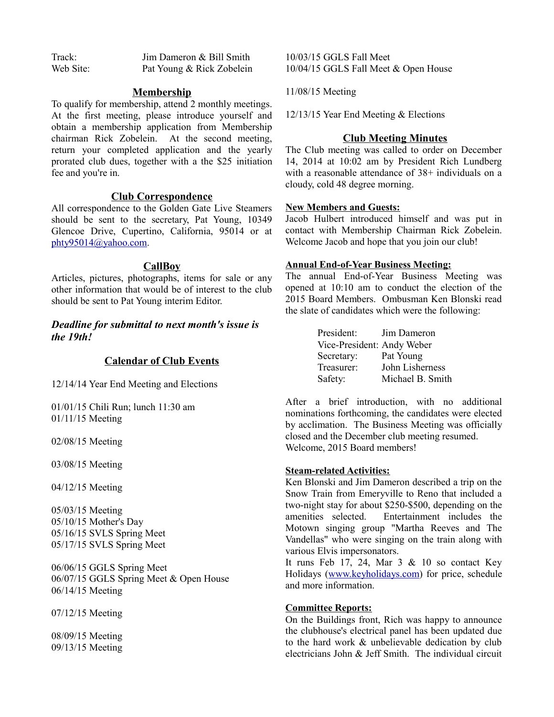| Track:    | Jim Dameron & Bill Smith  |
|-----------|---------------------------|
| Web Site: | Pat Young & Rick Zobelein |

#### **Membership**

To qualify for membership, attend 2 monthly meetings. At the first meeting, please introduce yourself and obtain a membership application from Membership chairman Rick Zobelein. At the second meeting, return your completed application and the yearly prorated club dues, together with a the \$25 initiation fee and you're in.

# **Club Correspondence**

All correspondence to the Golden Gate Live Steamers should be sent to the secretary, Pat Young, 10349 Glencoe Drive, Cupertino, California, 95014 or at [phty95014@yahoo.com.](mailto:phty95014@yahoo.com)

#### **CallBoy**

Articles, pictures, photographs, items for sale or any other information that would be of interest to the club should be sent to Pat Young interim Editor.

*Deadline for submittal to next month's issue is the 19th!*

#### **Calendar of Club Events**

12/14/14 Year End Meeting and Elections

01/01/15 Chili Run; lunch 11:30 am 01/11/15 Meeting

02/08/15 Meeting

03/08/15 Meeting

04/12/15 Meeting

05/03/15 Meeting 05/10/15 Mother's Day 05/16/15 SVLS Spring Meet 05/17/15 SVLS Spring Meet

06/06/15 GGLS Spring Meet 06/07/15 GGLS Spring Meet & Open House 06/14/15 Meeting

07/12/15 Meeting

08/09/15 Meeting 09/13/15 Meeting 10/03/15 GGLS Fall Meet 10/04/15 GGLS Fall Meet & Open House

11/08/15 Meeting

12/13/15 Year End Meeting & Elections

#### **Club Meeting Minutes**

The Club meeting was called to order on December 14, 2014 at 10:02 am by President Rich Lundberg with a reasonable attendance of 38+ individuals on a cloudy, cold 48 degree morning.

#### **New Members and Guests:**

Jacob Hulbert introduced himself and was put in contact with Membership Chairman Rick Zobelein. Welcome Jacob and hope that you join our club!

# **Annual End-of-Year Business Meeting:**

The annual End-of-Year Business Meeting was opened at 10:10 am to conduct the election of the 2015 Board Members. Ombusman Ken Blonski read the slate of candidates which were the following:

| President:                 | Jim Dameron      |
|----------------------------|------------------|
| Vice-President: Andy Weber |                  |
| Secretary:                 | Pat Young        |
| Treasurer:                 | John Lisherness  |
| Safety:                    | Michael B. Smith |

After a brief introduction, with no additional nominations forthcoming, the candidates were elected by acclimation. The Business Meeting was officially closed and the December club meeting resumed. Welcome, 2015 Board members!

#### **Steam-related Activities:**

Ken Blonski and Jim Dameron described a trip on the Snow Train from Emeryville to Reno that included a two-night stay for about \$250-\$500, depending on the amenities selected. Entertainment includes the Motown singing group "Martha Reeves and The Vandellas" who were singing on the train along with various Elvis impersonators.

It runs Feb 17, 24, Mar  $3 \& 10$  so contact Key Holidays [\(www.keyholidays.com\)](http://www.keyholidays.com/) for price, schedule and more information.

#### **Committee Reports:**

On the Buildings front, Rich was happy to announce the clubhouse's electrical panel has been updated due to the hard work & unbelievable dedication by club electricians John & Jeff Smith. The individual circuit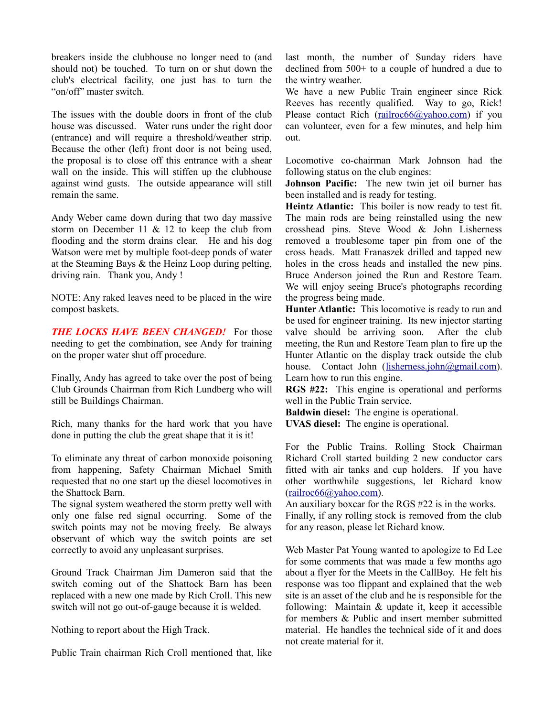breakers inside the clubhouse no longer need to (and should not) be touched. To turn on or shut down the club's electrical facility, one just has to turn the "on/off" master switch.

The issues with the double doors in front of the club house was discussed. Water runs under the right door (entrance) and will require a threshold/weather strip. Because the other (left) front door is not being used, the proposal is to close off this entrance with a shear wall on the inside. This will stiffen up the clubhouse against wind gusts. The outside appearance will still remain the same.

Andy Weber came down during that two day massive storm on December 11  $& 12$  to keep the club from flooding and the storm drains clear. He and his dog Watson were met by multiple foot-deep ponds of water at the Steaming Bays & the Heinz Loop during pelting, driving rain. Thank you, Andy !

NOTE: Any raked leaves need to be placed in the wire compost baskets.

*THE LOCKS HAVE BEEN CHANGED!* For those needing to get the combination, see Andy for training on the proper water shut off procedure.

Finally, Andy has agreed to take over the post of being Club Grounds Chairman from Rich Lundberg who will still be Buildings Chairman.

Rich, many thanks for the hard work that you have done in putting the club the great shape that it is it!

To eliminate any threat of carbon monoxide poisoning from happening, Safety Chairman Michael Smith requested that no one start up the diesel locomotives in the Shattock Barn.

The signal system weathered the storm pretty well with only one false red signal occurring. Some of the switch points may not be moving freely. Be always observant of which way the switch points are set correctly to avoid any unpleasant surprises.

Ground Track Chairman Jim Dameron said that the switch coming out of the Shattock Barn has been replaced with a new one made by Rich Croll. This new switch will not go out-of-gauge because it is welded.

Nothing to report about the High Track.

Public Train chairman Rich Croll mentioned that, like

last month, the number of Sunday riders have declined from 500+ to a couple of hundred a due to the wintry weather.

We have a new Public Train engineer since Rick Reeves has recently qualified. Way to go, Rick! Please contact Rich [\(railroc66@yahoo.com\)](mailto:railroc66@yahoo.com) if you can volunteer, even for a few minutes, and help him out.

Locomotive co-chairman Mark Johnson had the following status on the club engines:

**Johnson Pacific:** The new twin jet oil burner has been installed and is ready for testing.

**Heintz Atlantic:** This boiler is now ready to test fit. The main rods are being reinstalled using the new crosshead pins. Steve Wood & John Lisherness removed a troublesome taper pin from one of the cross heads. Matt Franaszek drilled and tapped new holes in the cross heads and installed the new pins. Bruce Anderson joined the Run and Restore Team. We will enjoy seeing Bruce's photographs recording the progress being made.

**Hunter Atlantic:** This locomotive is ready to run and be used for engineer training. Its new injector starting valve should be arriving soon. After the club meeting, the Run and Restore Team plan to fire up the Hunter Atlantic on the display track outside the club house. Contact John [\(lisherness.john@gmail.com\)](mailto:lisherness.john@gmail.com). Learn how to run this engine.

**RGS #22:** This engine is operational and performs well in the Public Train service.

**Baldwin diesel:** The engine is operational.

**UVAS diesel:** The engine is operational.

For the Public Trains. Rolling Stock Chairman Richard Croll started building 2 new conductor cars fitted with air tanks and cup holders. If you have other worthwhile suggestions, let Richard know [\(railroc66@yahoo.com\)](mailto:railroc66@yahoo.com).

An auxiliary boxcar for the RGS #22 is in the works. Finally, if any rolling stock is removed from the club for any reason, please let Richard know.

Web Master Pat Young wanted to apologize to Ed Lee for some comments that was made a few months ago about a flyer for the Meets in the CallBoy. He felt his response was too flippant and explained that the web site is an asset of the club and he is responsible for the following: Maintain  $\&$  update it, keep it accessible for members & Public and insert member submitted material. He handles the technical side of it and does not create material for it.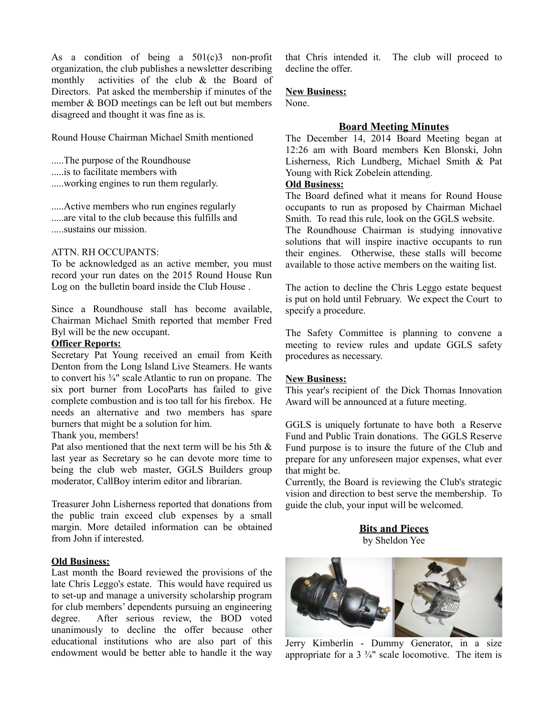As a condition of being a  $501(c)3$  non-profit organization, the club publishes a newsletter describing monthly activities of the club & the Board of Directors. Pat asked the membership if minutes of the member & BOD meetings can be left out but members disagreed and thought it was fine as is.

Round House Chairman Michael Smith mentioned

.....The purpose of the Roundhouse

.....is to facilitate members with

.....working engines to run them regularly.

.....Active members who run engines regularly .....are vital to the club because this fulfills and .....sustains our mission.

### ATTN. RH OCCUPANTS:

To be acknowledged as an active member, you must record your run dates on the 2015 Round House Run Log on the bulletin board inside the Club House .

Since a Roundhouse stall has become available, Chairman Michael Smith reported that member Fred Byl will be the new occupant.

#### **Officer Reports:**

Secretary Pat Young received an email from Keith Denton from the Long Island Live Steamers. He wants to convert his ¾" scale Atlantic to run on propane. The six port burner from LocoParts has failed to give complete combustion and is too tall for his firebox. He needs an alternative and two members has spare burners that might be a solution for him.

Thank you, members!

Pat also mentioned that the next term will be his 5th & last year as Secretary so he can devote more time to being the club web master, GGLS Builders group moderator, CallBoy interim editor and librarian.

Treasurer John Lisherness reported that donations from the public train exceed club expenses by a small margin. More detailed information can be obtained from John if interested.

#### **Old Business:**

Last month the Board reviewed the provisions of the late Chris Leggo's estate. This would have required us to set-up and manage a university scholarship program for club members' dependents pursuing an engineering degree. After serious review, the BOD voted unanimously to decline the offer because other educational institutions who are also part of this endowment would be better able to handle it the way that Chris intended it. The club will proceed to decline the offer.

#### **New Business:**

None.

# **Board Meeting Minutes**

The December 14, 2014 Board Meeting began at 12:26 am with Board members Ken Blonski, John Lisherness, Rich Lundberg, Michael Smith & Pat Young with Rick Zobelein attending.

#### **Old Business:**

The Board defined what it means for Round House occupants to run as proposed by Chairman Michael Smith. To read this rule, look on the GGLS website. The Roundhouse Chairman is studying innovative solutions that will inspire inactive occupants to run their engines. Otherwise, these stalls will become available to those active members on the waiting list.

The action to decline the Chris Leggo estate bequest is put on hold until February. We expect the Court to specify a procedure.

The Safety Committee is planning to convene a meeting to review rules and update GGLS safety procedures as necessary.

#### **New Business:**

This year's recipient of the Dick Thomas Innovation Award will be announced at a future meeting.

GGLS is uniquely fortunate to have both a Reserve Fund and Public Train donations. The GGLS Reserve Fund purpose is to insure the future of the Club and prepare for any unforeseen major expenses, what ever that might be.

Currently, the Board is reviewing the Club's strategic vision and direction to best serve the membership. To guide the club, your input will be welcomed.

> **Bits and Pieces** by Sheldon Yee



Jerry Kimberlin - Dummy Generator, in a size appropriate for a  $3 \frac{3}{4}$ " scale locomotive. The item is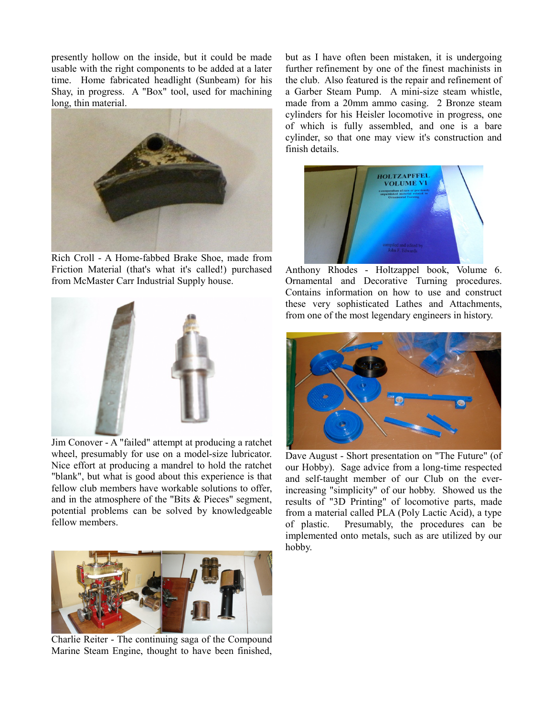presently hollow on the inside, but it could be made usable with the right components to be added at a later time. Home fabricated headlight (Sunbeam) for his Shay, in progress. A "Box" tool, used for machining long, thin material.



Rich Croll - A Home-fabbed Brake Shoe, made from Friction Material (that's what it's called!) purchased from McMaster Carr Industrial Supply house.



Jim Conover - A "failed" attempt at producing a ratchet wheel, presumably for use on a model-size lubricator. Nice effort at producing a mandrel to hold the ratchet "blank", but what is good about this experience is that fellow club members have workable solutions to offer, and in the atmosphere of the "Bits & Pieces" segment, potential problems can be solved by knowledgeable fellow members.



Charlie Reiter - The continuing saga of the Compound Marine Steam Engine, thought to have been finished,

but as I have often been mistaken, it is undergoing further refinement by one of the finest machinists in the club. Also featured is the repair and refinement of a Garber Steam Pump. A mini-size steam whistle, made from a 20mm ammo casing. 2 Bronze steam cylinders for his Heisler locomotive in progress, one of which is fully assembled, and one is a bare cylinder, so that one may view it's construction and finish details.



Anthony Rhodes - Holtzappel book, Volume 6. Ornamental and Decorative Turning procedures. Contains information on how to use and construct these very sophisticated Lathes and Attachments, from one of the most legendary engineers in history.



Dave August - Short presentation on "The Future" (of our Hobby). Sage advice from a long-time respected and self-taught member of our Club on the everincreasing "simplicity" of our hobby. Showed us the results of "3D Printing" of locomotive parts, made from a material called PLA (Poly Lactic Acid), a type of plastic. Presumably, the procedures can be implemented onto metals, such as are utilized by our hobby.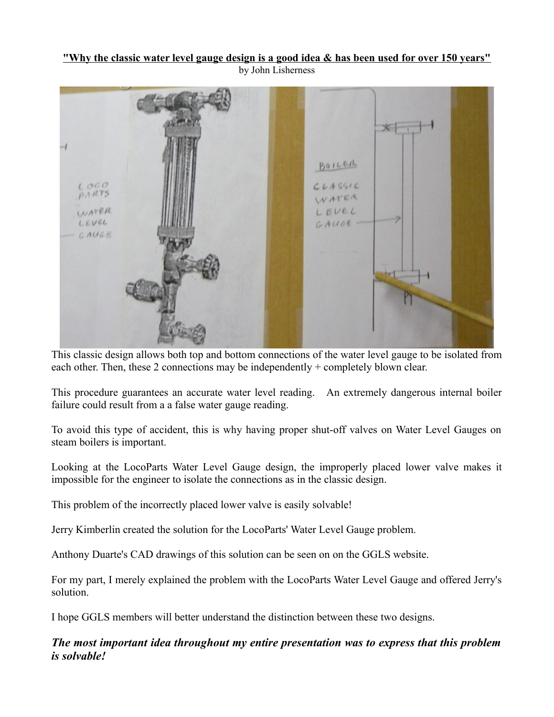### **"Why the classic water level gauge design is a good idea & has been used for over 150 years"** by John Lisherness



This classic design allows both top and bottom connections of the water level gauge to be isolated from each other. Then, these 2 connections may be independently + completely blown clear.

This procedure guarantees an accurate water level reading. An extremely dangerous internal boiler failure could result from a a false water gauge reading.

To avoid this type of accident, this is why having proper shut-off valves on Water Level Gauges on steam boilers is important.

Looking at the LocoParts Water Level Gauge design, the improperly placed lower valve makes it impossible for the engineer to isolate the connections as in the classic design.

This problem of the incorrectly placed lower valve is easily solvable!

Jerry Kimberlin created the solution for the LocoParts' Water Level Gauge problem.

Anthony Duarte's CAD drawings of this solution can be seen on on the GGLS website.

For my part, I merely explained the problem with the LocoParts Water Level Gauge and offered Jerry's solution.

I hope GGLS members will better understand the distinction between these two designs.

# *The most important idea throughout my entire presentation was to express that this problem is solvable!*